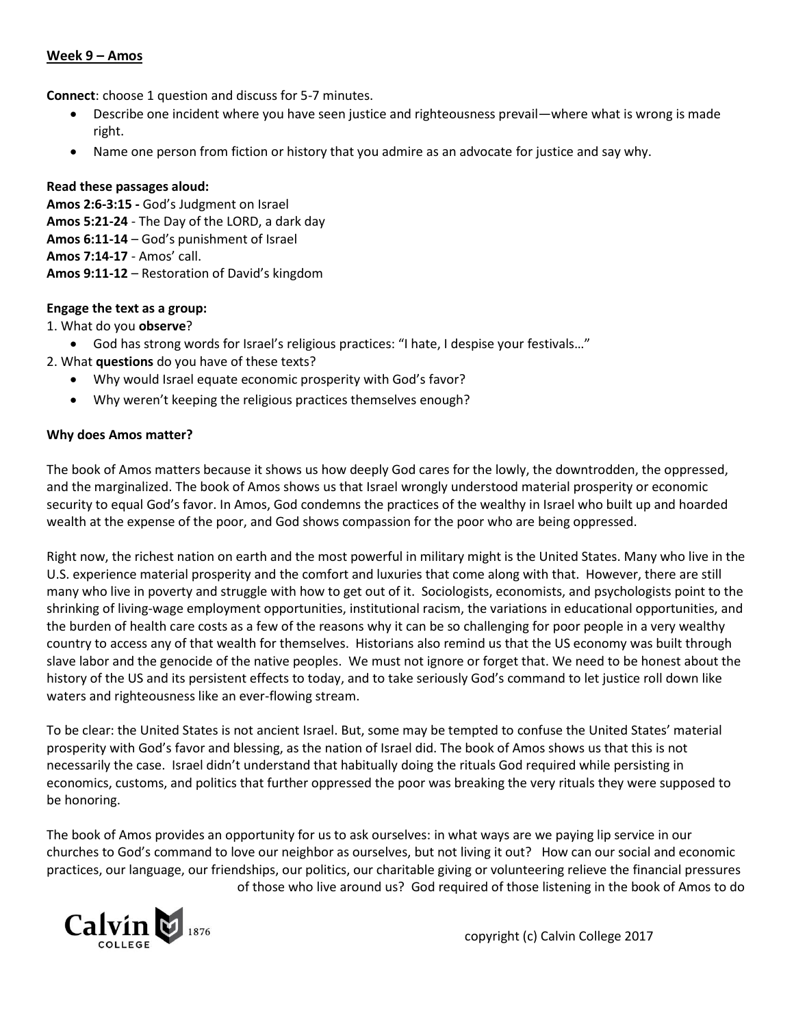## **Week 9 – Amos**

**Connect**: choose 1 question and discuss for 5-7 minutes.

- Describe one incident where you have seen justice and righteousness prevail—where what is wrong is made right.
- Name one person from fiction or history that you admire as an advocate for justice and say why.

### **Read these passages aloud:**

**Amos 2:6-3:15 -** God's Judgment on Israel **Amos 5:21-24** - The Day of the LORD, a dark day **Amos 6:11-14** – God's punishment of Israel **Amos 7:14-17** - Amos' call. **Amos 9:11-12** – Restoration of David's kingdom

## **Engage the text as a group:**

1. What do you **observe**?

God has strong words for Israel's religious practices: "I hate, I despise your festivals…"

2. What **questions** do you have of these texts?

- Why would Israel equate economic prosperity with God's favor?
- Why weren't keeping the religious practices themselves enough?

## **Why does Amos matter?**

The book of Amos matters because it shows us how deeply God cares for the lowly, the downtrodden, the oppressed, and the marginalized. The book of Amos shows us that Israel wrongly understood material prosperity or economic security to equal God's favor. In Amos, God condemns the practices of the wealthy in Israel who built up and hoarded wealth at the expense of the poor, and God shows compassion for the poor who are being oppressed.

Right now, the richest nation on earth and the most powerful in military might is the United States. Many who live in the U.S. experience material prosperity and the comfort and luxuries that come along with that. However, there are still many who live in poverty and struggle with how to get out of it. Sociologists, economists, and psychologists point to the shrinking of living-wage employment opportunities, institutional racism, the variations in educational opportunities, and the burden of health care costs as a few of the reasons why it can be so challenging for poor people in a very wealthy country to access any of that wealth for themselves. Historians also remind us that the US economy was built through slave labor and the genocide of the native peoples. We must not ignore or forget that. We need to be honest about the history of the US and its persistent effects to today, and to take seriously God's command to let justice roll down like waters and righteousness like an ever-flowing stream.

To be clear: the United States is not ancient Israel. But, some may be tempted to confuse the United States' material prosperity with God's favor and blessing, as the nation of Israel did. The book of Amos shows us that this is not necessarily the case. Israel didn't understand that habitually doing the rituals God required while persisting in economics, customs, and politics that further oppressed the poor was breaking the very rituals they were supposed to be honoring.

The book of Amos provides an opportunity for us to ask ourselves: in what ways are we paying lip service in our churches to God's command to love our neighbor as ourselves, but not living it out? How can our social and economic practices, our language, our friendships, our politics, our charitable giving or volunteering relieve the financial pressures of those who live around us? God required of those listening in the book of Amos to do